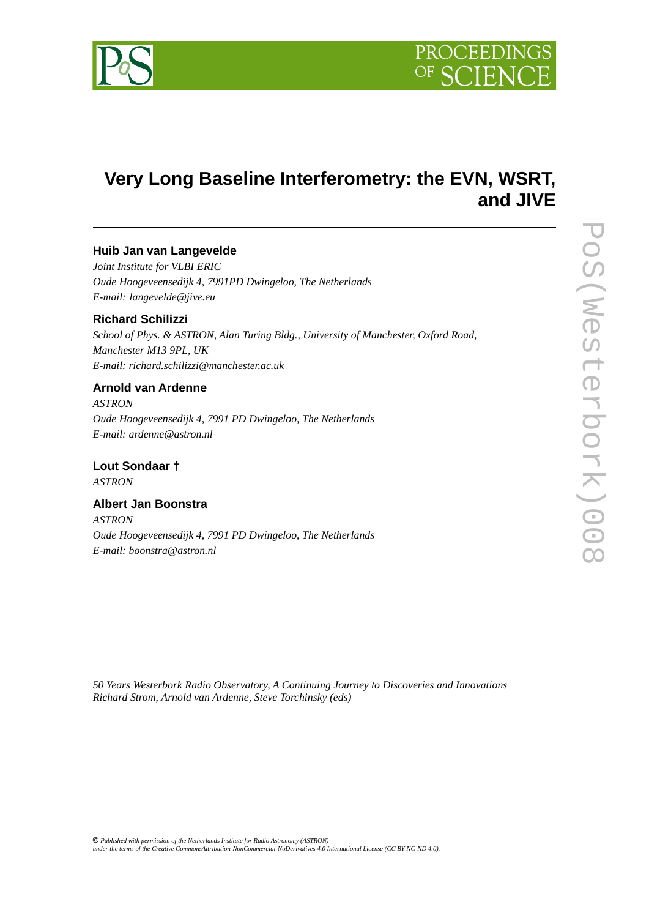

# **Very Long Baseline Interferometry: the EVN, WSRT, and JIVE**

# **Huib Jan van Langevelde**

*Joint Institute for VLBI ERIC Oude Hoogeveensedijk 4, 7991PD Dwingeloo, The Netherlands E-mail: langevelde@jive.eu* 

### **Richard Schilizzi**

*School of Phys. & ASTRON, Alan Turing Bldg., University of Manchester, Oxford Road, Manchester M13 9PL, UK E-mail: richard.schilizzi@manchester.ac.uk*

### **Arnold van Ardenne**

*ASTRON Oude Hoogeveensedijk 4, 7991 PD Dwingeloo, The Netherlands E-mail: ardenne@astron.nl*

**Lout Sondaar †** *ASTRON* 

## **Albert Jan Boonstra**

*ASTRON Oude Hoogeveensedijk 4, 7991 PD Dwingeloo, The Netherlands E-mail: boonstra@astron.nl*

*50 Years Westerbork Radio Observatory, A Continuing Journey to Discoveries and Innovations Richard Strom, Arnold van Ardenne, Steve Torchinsky (eds)*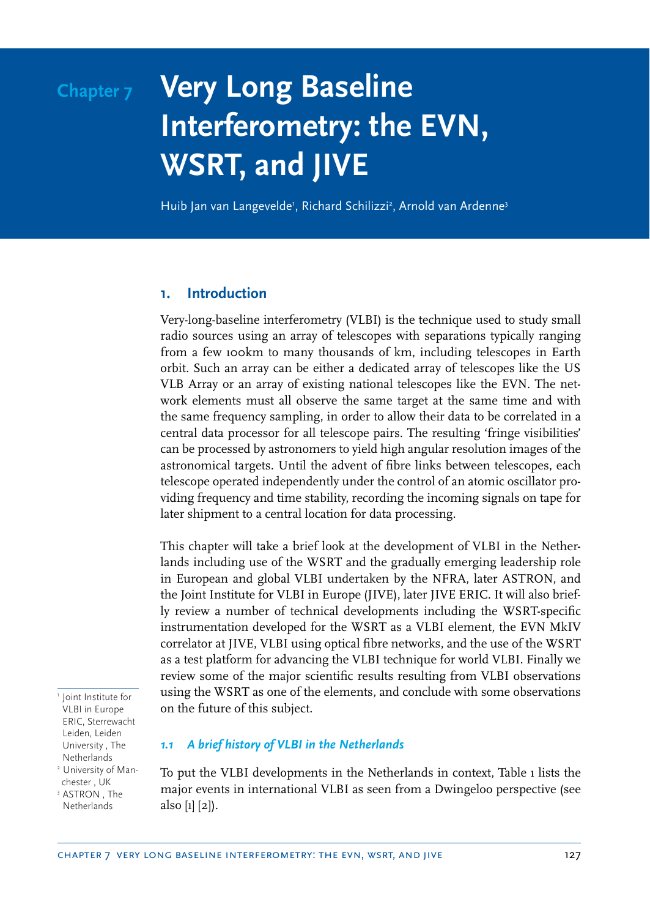# **Chapter 7 Very Long Baseline Interferometry: the EVN, WSRT, and JIVE**

Huib Jan van Langevelde', Richard Schilizzi<sup>2</sup>, Arnold van Ardenne<sup>3</sup>

#### **1. Introduction**

Very-long-baseline interferometry (VLBI) is the technique used to study small radio sources using an array of telescopes with separations typically ranging from a few 100km to many thousands of km, including telescopes in Earth orbit. Such an array can be either a dedicated array of telescopes like the US VLB Array or an array of existing national telescopes like the EVN. The network elements must all observe the same target at the same time and with the same frequency sampling, in order to allow their data to be correlated in a central data processor for all telescope pairs. The resulting 'fringe visibilities' can be processed by astronomers to yield high angular resolution images of the astronomical targets. Until the advent of fibre links between telescopes, each telescope operated independently under the control of an atomic oscillator providing frequency and time stability, recording the incoming signals on tape for later shipment to a central location for data processing.

This chapter will take a brief look at the development of VLBI in the Netherlands including use of the WSRT and the gradually emerging leadership role in European and global VLBI undertaken by the NFRA, later ASTRON, and the Joint Institute for VLBI in Europe (JIVE), later JIVE ERIC. It will also briefly review a number of technical developments including the WSRT-specific instrumentation developed for the WSRT as a VLBI element, the EVN MkIV correlator at JIVE, VLBI using optical fibre networks, and the use of the WSRT as a test platform for advancing the VLBI technique for world VLBI. Finally we review some of the major scientific results resulting from VLBI observations using the WSRT as one of the elements, and conclude with some observations on the future of this subject.

<sup>1</sup> Joint Institute for VLBI in Europe ERIC, Sterrewacht Leiden, Leiden University , The Netherlands <sup>2</sup> University of Manchester , UK

<sup>3</sup> ASTRON, The Netherlands

#### *1.1 A brief history of VLBI in the Netherlands*

To put the VLBI developments in the Netherlands in context, Table 1 lists the major events in international VLBI as seen from a Dwingeloo perspective (see also [1] [2]).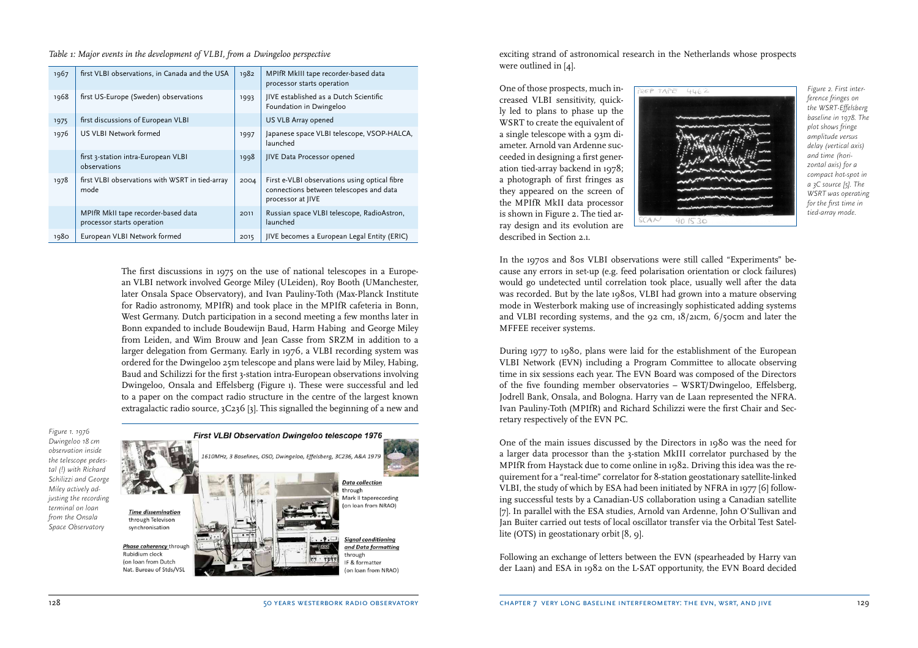*Table 1: Major events in the development of VLBI, from a Dwingeloo perspective*

| 1967 | first VLBI observations, in Canada and the USA                    | 1982 | MPIfR MkIII tape recorder-based data<br>processor starts operation                                            |
|------|-------------------------------------------------------------------|------|---------------------------------------------------------------------------------------------------------------|
| 1968 | first US-Europe (Sweden) observations                             | 1993 | IIVE established as a Dutch Scientific<br>Foundation in Dwingeloo                                             |
| 1975 | first discussions of European VLBI                                |      | US VLB Array opened                                                                                           |
| 1976 | US VLBI Network formed                                            | 1997 | Japanese space VLBI telescope, VSOP-HALCA,<br>launched                                                        |
|      | first 3-station intra-European VLBI<br>observations               | 1998 | JIVE Data Processor opened                                                                                    |
| 1978 | first VLBI observations with WSRT in tied-array<br>mode           | 2004 | First e-VLBI observations using optical fibre<br>connections between telescopes and data<br>processor at JIVE |
|      | MPIfR MkII tape recorder-based data<br>processor starts operation | 2011 | Russian space VLBI telescope, RadioAstron,<br>launched                                                        |
| 1980 | European VLBI Network formed                                      | 2015 | JIVE becomes a European Legal Entity (ERIC)                                                                   |

The first discussions in 1975 on the use of national telescopes in a European VLBI network involved George Miley (ULeiden), Roy Booth (UManchester, later Onsala Space Observatory), and Ivan Pauliny-Toth (Max-Planck Institute for Radio astronomy, MPIfR) and took place in the MPIfR cafeteria in Bonn, West Germany. Dutch participation in a second meeting a few months later in Bonn expanded to include Boudewijn Baud, Harm Habing and George Miley from Leiden, and Wim Brouw and Jean Casse from SRZM in addition to a larger delegation from Germany. Early in 1976, a VLBI recording system was ordered for the Dwingeloo 25m telescope and plans were laid by Miley, Habing, Baud and Schilizzi for the first 3-station intra-European observations involving Dwingeloo, Onsala and Effelsberg (Figure 1). These were successful and led to a paper on the compact radio structure in the centre of the largest known extragalactic radio source, 3C236 [3]. This signalled the beginning of a new and

*Figure 1. 1976 Dwingeloo 18 cm observation inside the telescope pedestal (!) with Richard Schilizzi and George Miley actively adjusting the recording terminal on loan from the Onsala Space Observatory*



exciting strand of astronomical research in the Netherlands whose prospects were outlined in [4].

One of those prospects, much increased VLBI sensitivity, quickly led to plans to phase up the WSRT to create the equivalent of a single telescope with a 93m diameter. Arnold van Ardenne succeeded in designing a first generation tied-array backend in 1978; a photograph of first fringes as they appeared on the screen of the MPIfR MkII data processor is shown in Figure 2. The tied array design and its evolution are described in Section 2.1.



*Figure 2. First interference fringes on the WSRT-Effelsberg baseline in 1978. The plot shows fringe amplitude versus delay (vertical axis) and time (horizontal axis) for a compact hot-spot in a 3C source [5]. The WSRT was operating for the first time in tied-array mode.*

In the 1970s and 80s VLBI observations were still called "Experiments" because any errors in set-up (e.g. feed polarisation orientation or clock failures) would go undetected until correlation took place, usually well after the data was recorded. But by the late 1980s, VLBI had grown into a mature observing mode in Westerbork making use of increasingly sophisticated adding systems and VLBI recording systems, and the 92 cm, 18/21cm, 6/50cm and later the MFFEE receiver systems.

During 1977 to 1980, plans were laid for the establishment of the European VLBI Network (EVN) including a Program Committee to allocate observing time in six sessions each year. The EVN Board was composed of the Directors of the five founding member observatories – WSRT/Dwingeloo, Effelsberg, Jodrell Bank, Onsala, and Bologna. Harry van de Laan represented the NFRA. Ivan Pauliny-Toth (MPIfR) and Richard Schilizzi were the first Chair and Secretary respectively of the EVN PC.

One of the main issues discussed by the Directors in 1980 was the need for a larger data processor than the 3-station MkIII correlator purchased by the MPIfR from Haystack due to come online in 1982. Driving this idea was the requirement for a "real-time" correlator for 8-station geostationary satellite-linked VLBI, the study of which by ESA had been initiated by NFRA in 1977 [6] following successful tests by a Canadian-US collaboration using a Canadian satellite [7]. In parallel with the ESA studies, Arnold van Ardenne, John O'Sullivan and Jan Buiter carried out tests of local oscillator transfer via the Orbital Test Satellite (OTS) in geostationary orbit [8, 9].

Following an exchange of letters between the EVN (spearheaded by Harry van der Laan) and ESA in 1982 on the L-SAT opportunity, the EVN Board decided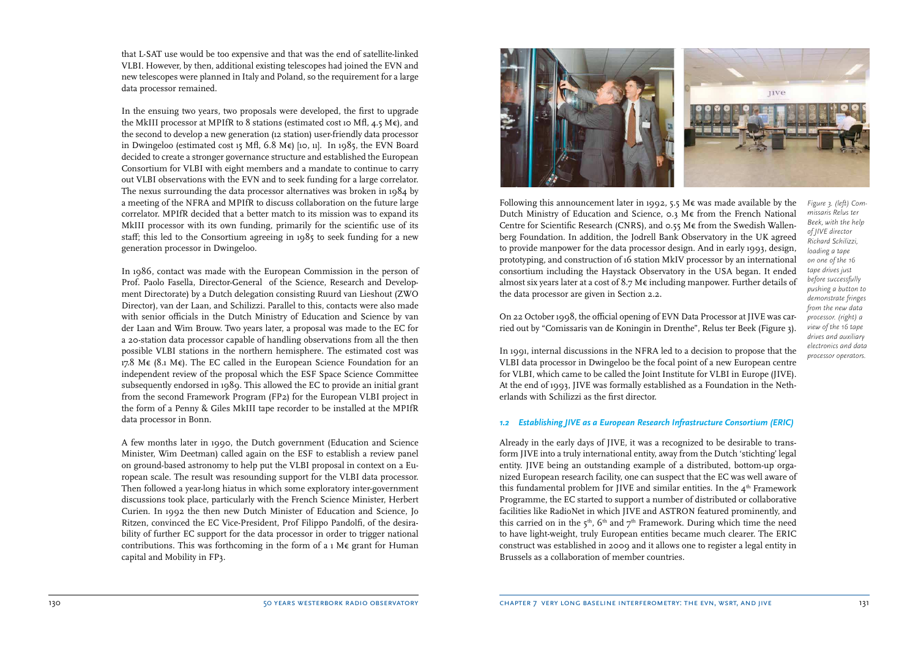that L-SAT use would be too expensive and that was the end of satellite-linked VLBI. However, by then, additional existing telescopes had joined the EVN and new telescopes were planned in Italy and Poland, so the requirement for a large data processor remained.

In the ensuing two years, two proposals were developed, the first to upgrade the MkIII processor at MPIfR to 8 stations (estimated cost 10 Mfl, 4.5 M $\epsilon$ ), and the second to develop a new generation (12 station) user-friendly data processor in Dwingeloo (estimated cost 15 Mfl,  $6.8 \text{ M} \in \Sigma$  [10, 11]. In 1985, the EVN Board decided to create a stronger governance structure and established the European Consortium for VLBI with eight members and a mandate to continue to carry out VLBI observations with the EVN and to seek funding for a large correlator. The nexus surrounding the data processor alternatives was broken in 1984 by a meeting of the NFRA and MPIfR to discuss collaboration on the future large correlator. MPIfR decided that a better match to its mission was to expand its MkIII processor with its own funding, primarily for the scientific use of its staff; this led to the Consortium agreeing in 1985 to seek funding for a new generation processor in Dwingeloo.

In 1986, contact was made with the European Commission in the person of Prof. Paolo Fasella, Director-General of the Science, Research and Development Directorate) by a Dutch delegation consisting Ruurd van Lieshout (ZWO Director), van der Laan, and Schilizzi. Parallel to this, contacts were also made with senior officials in the Dutch Ministry of Education and Science by van der Laan and Wim Brouw. Two years later, a proposal was made to the EC for a 20-station data processor capable of handling observations from all the then possible VLBI stations in the northern hemisphere. The estimated cost was 17.8 M€ (8.1 M€). The EC called in the European Science Foundation for an independent review of the proposal which the ESF Space Science Committee subsequently endorsed in 1989. This allowed the EC to provide an initial grant from the second Framework Program (FP2) for the European VLBI project in the form of a Penny & Giles MkIII tape recorder to be installed at the MPIfR data processor in Bonn.

A few months later in 1990, the Dutch government (Education and Science Minister, Wim Deetman) called again on the ESF to establish a review panel on ground-based astronomy to help put the VLBI proposal in context on a European scale. The result was resounding support for the VLBI data processor. Then followed a year-long hiatus in which some exploratory inter-government discussions took place, particularly with the French Science Minister, Herbert Curien. In 1992 the then new Dutch Minister of Education and Science, Jo Ritzen, convinced the EC Vice-President, Prof Filippo Pandolfi, of the desirability of further EC support for the data processor in order to trigger national contributions. This was forthcoming in the form of a 1 M $\epsilon$  grant for Human capital and Mobility in FP3.



Following this announcement later in 1992, 5.5 M $\epsilon$  was made available by the Dutch Ministry of Education and Science, 0.3 M€ from the French National Centre for Scientific Research (CNRS), and 0.55 M€ from the Swedish Wallenberg Foundation. In addition, the Jodrell Bank Observatory in the UK agreed to provide manpower for the data processor design. And in early 1993, design, prototyping, and construction of 16 station MkIV processor by an international consortium including the Haystack Observatory in the USA began. It ended almost six years later at a cost of 8.7 M $\epsilon$  including manpower. Further details of the data processor are given in Section 2.2.

*Figure 3. (left) Commissaris Relus ter Beek, with the help of JIVE director Richard Schilizzi, loading a tape on one of the 16 tape drives just before successfully pushing a button to demonstrate fringes from the new data processor. (right) a view of the 16 tape drives and auxiliary electronics and data processor operators.*

On 22 October 1998, the official opening of EVN Data Processor at JIVE was carried out by "Comissaris van de Koningin in Drenthe", Relus ter Beek (Figure 3).

In 1991, internal discussions in the NFRA led to a decision to propose that the VLBI data processor in Dwingeloo be the focal point of a new European centre for VLBI, which came to be called the Joint Institute for VLBI in Europe (JIVE). At the end of 1993, JIVE was formally established as a Foundation in the Netherlands with Schilizzi as the first director.

#### *1.2 Establishing JIVE as a European Research Infrastructure Consortium (ERIC)*

Already in the early days of JIVE, it was a recognized to be desirable to transform JIVE into a truly international entity, away from the Dutch 'stichting' legal entity. JIVE being an outstanding example of a distributed, bottom-up organized European research facility, one can suspect that the EC was well aware of this fundamental problem for JIVE and similar entities. In the  $4<sup>th</sup>$  Framework Programme, the EC started to support a number of distributed or collaborative facilities like RadioNet in which JIVE and ASTRON featured prominently, and this carried on in the  $5<sup>th</sup>$ ,  $6<sup>th</sup>$  and  $7<sup>th</sup>$  Framework. During which time the need to have light-weight, truly European entities became much clearer. The ERIC construct was established in 2009 and it allows one to register a legal entity in Brussels as a collaboration of member countries.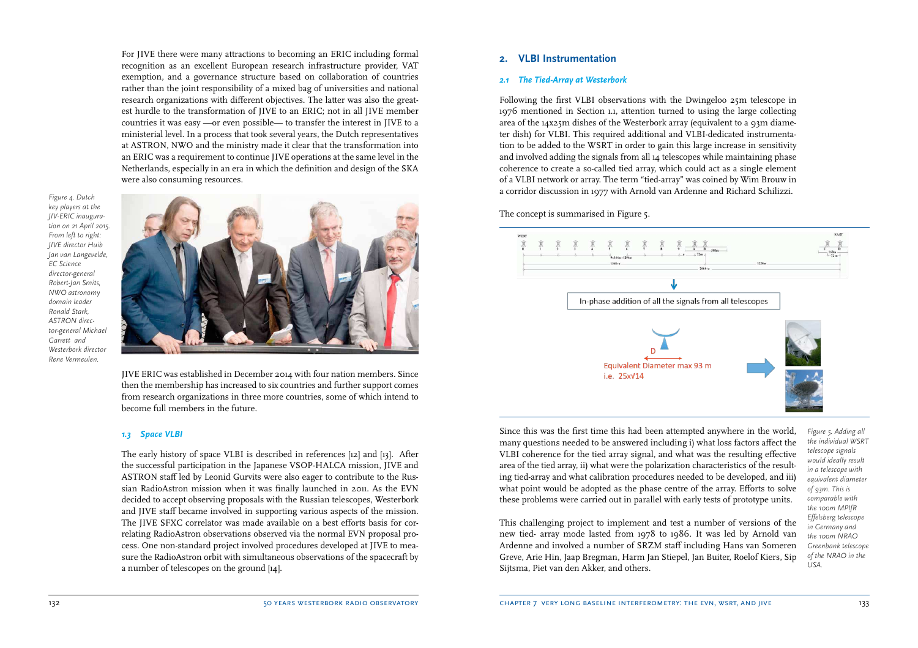For JIVE there were many attractions to becoming an ERIC including formal recognition as an excellent European research infrastructure provider, VAT exemption, and a governance structure based on collaboration of countries rather than the joint responsibility of a mixed bag of universities and national research organizations with different objectives. The latter was also the greatest hurdle to the transformation of JIVE to an ERIC; not in all JIVE member countries it was easy —or even possible— to transfer the interest in JIVE to a ministerial level. In a process that took several years, the Dutch representatives at ASTRON, NWO and the ministry made it clear that the transformation into an ERIC was a requirement to continue JIVE operations at the same level in the Netherlands, especially in an era in which the definition and design of the SKA were also consuming resources.

*Figure 4. Dutch key players at the JIV-ERIC inauguration on 21 April 2015. From left to right: JIVE director Huib Jan van Langevelde, EC Science director-general Robert-Jan Smits, NWO astronomy domain leader Ronald Stark, ASTRON director-general Michael Garrett and Westerbork director Rene Vermeulen.*



JIVE ERIC was established in December 2014 with four nation members. Since then the membership has increased to six countries and further support comes from research organizations in three more countries, some of which intend to become full members in the future.

#### *1.3 Space VLBI*

The early history of space VLBI is described in references [12] and [13]. After the successful participation in the Japanese VSOP-HALCA mission, JIVE and ASTRON staff led by Leonid Gurvits were also eager to contribute to the Russian RadioAstron mission when it was finally launched in 2011. As the EVN decided to accept observing proposals with the Russian telescopes, Westerbork and JIVE staff became involved in supporting various aspects of the mission. The JIVE SFXC correlator was made available on a best efforts basis for correlating RadioAstron observations observed via the normal EVN proposal process. One non-standard project involved procedures developed at JIVE to measure the RadioAstron orbit with simultaneous observations of the spacecraft by a number of telescopes on the ground [14].

#### **2. VLBI Instrumentation**

#### *2.1 The Tied-Array at Westerbork*

Following the first VLBI observations with the Dwingeloo 25m telescope in 1976 mentioned in Section 1.1, attention turned to using the large collecting area of the 14x25m dishes of the Westerbork array (equivalent to a 93m diameter dish) for VLBI. This required additional and VLBI-dedicated instrumentation to be added to the WSRT in order to gain this large increase in sensitivity and involved adding the signals from all 14 telescopes while maintaining phase coherence to create a so-called tied array, which could act as a single element of a VLBI network or array. The term "tied-array" was coined by Wim Brouw in a corridor discussion in 1977 with Arnold van Ardenne and Richard Schilizzi.

The concept is summarised in Figure 5.



Since this was the first time this had been attempted anywhere in the world, many questions needed to be answered including i) what loss factors affect the VLBI coherence for the tied array signal, and what was the resulting effective area of the tied array, ii) what were the polarization characteristics of the resulting tied-array and what calibration procedures needed to be developed, and iii) what point would be adopted as the phase centre of the array. Efforts to solve these problems were carried out in parallel with early tests of prototype units.

*Figure 5. Adding all the individual WSRT telescope signals would ideally result in a telescope with equivalent diameter of 93m. This is comparable with the 100m MPIfR Effelsberg telescope in Germany and the 100m NRAO Greenbank telescope of the NRAO in the USA.*

This challenging project to implement and test a number of versions of the new tied- array mode lasted from 1978 to 1986. It was led by Arnold van Ardenne and involved a number of SRZM staff including Hans van Someren Greve, Arie Hin, Jaap Bregman, Harm Jan Stiepel, Jan Buiter, Roelof Kiers, Sip Sijtsma, Piet van den Akker, and others.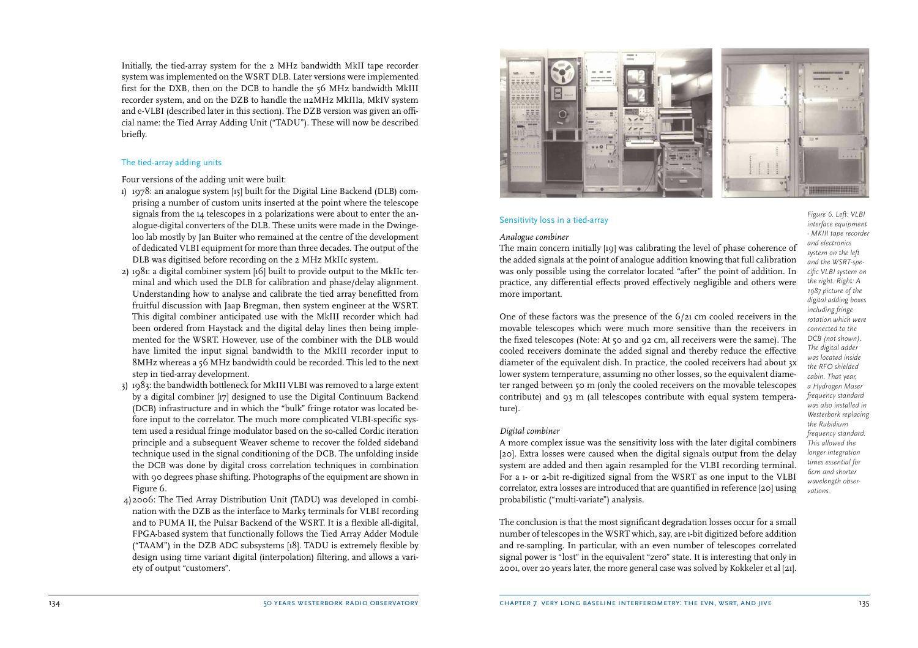Initially, the tied-array system for the 2 MHz bandwidth MkII tape recorder system was implemented on the WSRT DLB. Later versions were implemented first for the DXB, then on the DCB to handle the 56 MHz bandwidth MkIII recorder system, and on the DZB to handle the 112MHz MkIIIa, MkIV system and e-VLBI (described later in this section). The DZB version was given an official name: the Tied Array Adding Unit ("TADU"). These will now be described briefly.

#### The tied-array adding units

Four versions of the adding unit were built:

- 1) 1978: an analogue system [15] built for the Digital Line Backend (DLB) comprising a number of custom units inserted at the point where the telescope signals from the 14 telescopes in 2 polarizations were about to enter the analogue-digital converters of the DLB. These units were made in the Dwingeloo lab mostly by Jan Buiter who remained at the centre of the development of dedicated VLBI equipment for more than three decades. The output of the DLB was digitised before recording on the 2 MHz MkIIc system.
- 2) 1981: a digital combiner system [16] built to provide output to the MkIIc terminal and which used the DLB for calibration and phase/delay alignment. Understanding how to analyse and calibrate the tied array benefitted from fruitful discussion with Jaap Bregman, then system engineer at the WSRT. This digital combiner anticipated use with the MkIII recorder which had been ordered from Haystack and the digital delay lines then being implemented for the WSRT. However, use of the combiner with the DLB would have limited the input signal bandwidth to the MkIII recorder input to 8MHz whereas a 56 MHz bandwidth could be recorded. This led to the next step in tied-array development.
- 3) 1983: the bandwidth bottleneck for MkIII VLBI was removed to a large extent by a digital combiner [17] designed to use the Digital Continuum Backend (DCB) infrastructure and in which the "bulk" fringe rotator was located before input to the correlator. The much more complicated VLBI-specific system used a residual fringe modulator based on the so-called Cordic iteration principle and a subsequent Weaver scheme to recover the folded sideband technique used in the signal conditioning of the DCB. The unfolding inside the DCB was done by digital cross correlation techniques in combination with 90 degrees phase shifting. Photographs of the equipment are shown in Figure 6.
- 4) 2006: The Tied Array Distribution Unit (TADU) was developed in combination with the DZB as the interface to Mark5 terminals for VLBI recording and to PUMA II, the Pulsar Backend of the WSRT. It is a flexible all-digital, FPGA-based system that functionally follows the Tied Array Adder Module ("TAAM") in the DZB ADC subsystems [18]. TADU is extremely flexible by design using time variant digital (interpolation) filtering, and allows a variety of output "customers".



#### Sensitivity loss in a tied-array

#### *Analogue combiner*

The main concern initially [19] was calibrating the level of phase coherence of the added signals at the point of analogue addition knowing that full calibration was only possible using the correlator located "after" the point of addition. In practice, any differential effects proved effectively negligible and others were more important.

One of these factors was the presence of the 6/21 cm cooled receivers in the movable telescopes which were much more sensitive than the receivers in the fixed telescopes (Note: At 50 and 92 cm, all receivers were the same). The cooled receivers dominate the added signal and thereby reduce the effective diameter of the equivalent dish. In practice, the cooled receivers had about 3x lower system temperature, assuming no other losses, so the equivalent diameter ranged between 50 m (only the cooled receivers on the movable telescopes contribute) and 93 m (all telescopes contribute with equal system temperature).

#### *Digital combiner*

A more complex issue was the sensitivity loss with the later digital combiners [20]. Extra losses were caused when the digital signals output from the delay system are added and then again resampled for the VLBI recording terminal. For a 1- or 2-bit re-digitized signal from the WSRT as one input to the VLBI correlator, extra losses are introduced that are quantified in reference [20] using probabilistic ("multi-variate") analysis.

The conclusion is that the most significant degradation losses occur for a small number of telescopes in the WSRT which, say, are 1-bit digitized before addition and re-sampling. In particular, with an even number of telescopes correlated signal power is "lost" in the equivalent "zero" state. It is interesting that only in 2001, over 20 years later, the more general case was solved by Kokkeler et al [21].

*Figure 6. Left: VLBI interface equipment - MKIII tape recorder and electronics system on the left and the WSRT-specific VLBI system on the right. Right: A 1987 picture of the digital adding boxes including fringe rotation which were connected to the DCB (not shown). The digital adder was located inside the RFO shielded cabin. That year, a Hydrogen Maser frequency standard was also installed in Westerbork replacing the Rubidium frequency standard. This allowed the longer integration times essential for 6cm and shorter wavelength observations.*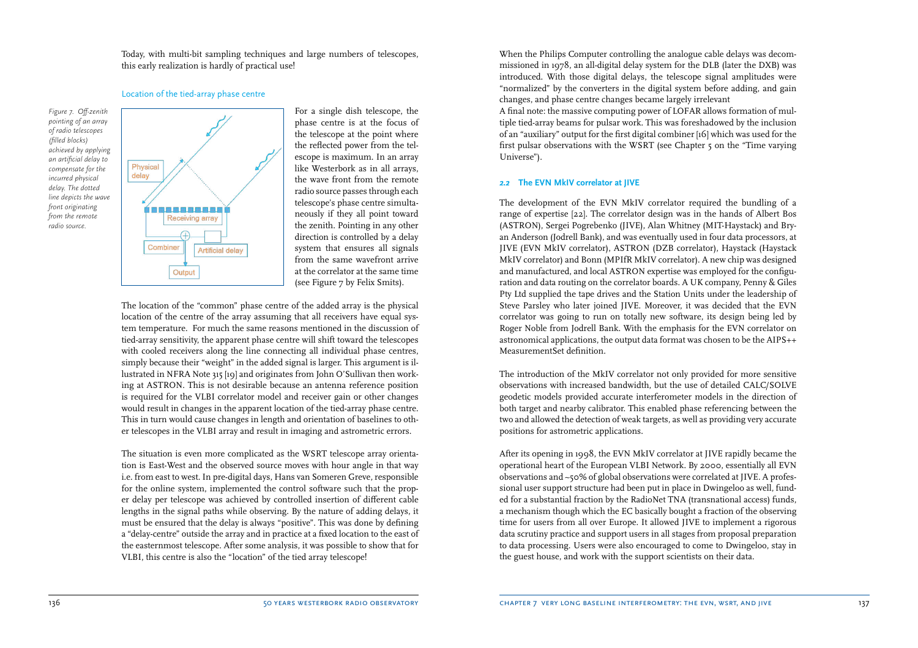Today, with multi-bit sampling techniques and large numbers of telescopes, this early realization is hardly of practical use!

#### Location of the tied-array phase centre

*Figure 7. Off-zenith pointing of an array of radio telescopes (filled blocks) achieved by applying an artificial delay to compensate for the incurred physical delay. The dotted line depicts the wave front originating from the remote radio source.* 



For a single dish telescope, the phase centre is at the focus of the telescope at the point where the reflected power from the telescope is maximum. In an array like Westerbork as in all arrays, the wave front from the remote radio source passes through each telescope's phase centre simultaneously if they all point toward the zenith. Pointing in any other direction is controlled by a delay system that ensures all signals from the same wavefront arrive at the correlator at the same time (see Figure 7 by Felix Smits).

The location of the "common" phase centre of the added array is the physical location of the centre of the array assuming that all receivers have equal system temperature. For much the same reasons mentioned in the discussion of tied-array sensitivity, the apparent phase centre will shift toward the telescopes with cooled receivers along the line connecting all individual phase centres, simply because their "weight" in the added signal is larger. This argument is illustrated in NFRA Note 315 [19] and originates from John O'Sullivan then working at ASTRON. This is not desirable because an antenna reference position is required for the VLBI correlator model and receiver gain or other changes would result in changes in the apparent location of the tied-array phase centre. This in turn would cause changes in length and orientation of baselines to other telescopes in the VLBI array and result in imaging and astrometric errors.

The situation is even more complicated as the WSRT telescope array orientation is East-West and the observed source moves with hour angle in that way i.e. from east to west. In pre-digital days, Hans van Someren Greve, responsible for the online system, implemented the control software such that the proper delay per telescope was achieved by controlled insertion of different cable lengths in the signal paths while observing. By the nature of adding delays, it must be ensured that the delay is always "positive". This was done by defining a "delay-centre" outside the array and in practice at a fixed location to the east of the easternmost telescope. After some analysis, it was possible to show that for VLBI, this centre is also the "location" of the tied array telescope!

When the Philips Computer controlling the analogue cable delays was decommissioned in 1978, an all-digital delay system for the DLB (later the DXB) was introduced. With those digital delays, the telescope signal amplitudes were "normalized" by the converters in the digital system before adding, and gain changes, and phase centre changes became largely irrelevant

A final note: the massive computing power of LOFAR allows formation of multiple tied-array beams for pulsar work. This was foreshadowed by the inclusion of an "auxiliary" output for the first digital combiner [16] which was used for the first pulsar observations with the WSRT (see Chapter 5 on the "Time varying Universe").

#### *2.2* **The EVN MkIV correlator at JIVE**

The development of the EVN MkIV correlator required the bundling of a range of expertise [22]. The correlator design was in the hands of Albert Bos (ASTRON), Sergei Pogrebenko (JIVE), Alan Whitney (MIT-Haystack) and Bryan Anderson (Jodrell Bank), and was eventually used in four data processors, at JIVE (EVN MkIV correlator), ASTRON (DZB correlator), Haystack (Haystack MkIV correlator) and Bonn (MPIfR MkIV correlator). A new chip was designed and manufactured, and local ASTRON expertise was employed for the configuration and data routing on the correlator boards. A UK company, Penny & Giles Pty Ltd supplied the tape drives and the Station Units under the leadership of Steve Parsley who later joined JIVE. Moreover, it was decided that the EVN correlator was going to run on totally new software, its design being led by Roger Noble from Jodrell Bank. With the emphasis for the EVN correlator on astronomical applications, the output data format was chosen to be the AIPS++ MeasurementSet definition.

The introduction of the MkIV correlator not only provided for more sensitive observations with increased bandwidth, but the use of detailed CALC/SOLVE geodetic models provided accurate interferometer models in the direction of both target and nearby calibrator. This enabled phase referencing between the two and allowed the detection of weak targets, as well as providing very accurate positions for astrometric applications.

After its opening in 1998, the EVN MkIV correlator at JIVE rapidly became the operational heart of the European VLBI Network. By 2000, essentially all EVN observations and ~50% of global observations were correlated at JIVE. A professional user support structure had been put in place in Dwingeloo as well, funded for a substantial fraction by the RadioNet TNA (transnational access) funds, a mechanism though which the EC basically bought a fraction of the observing time for users from all over Europe. It allowed JIVE to implement a rigorous data scrutiny practice and support users in all stages from proposal preparation to data processing. Users were also encouraged to come to Dwingeloo, stay in the guest house, and work with the support scientists on their data.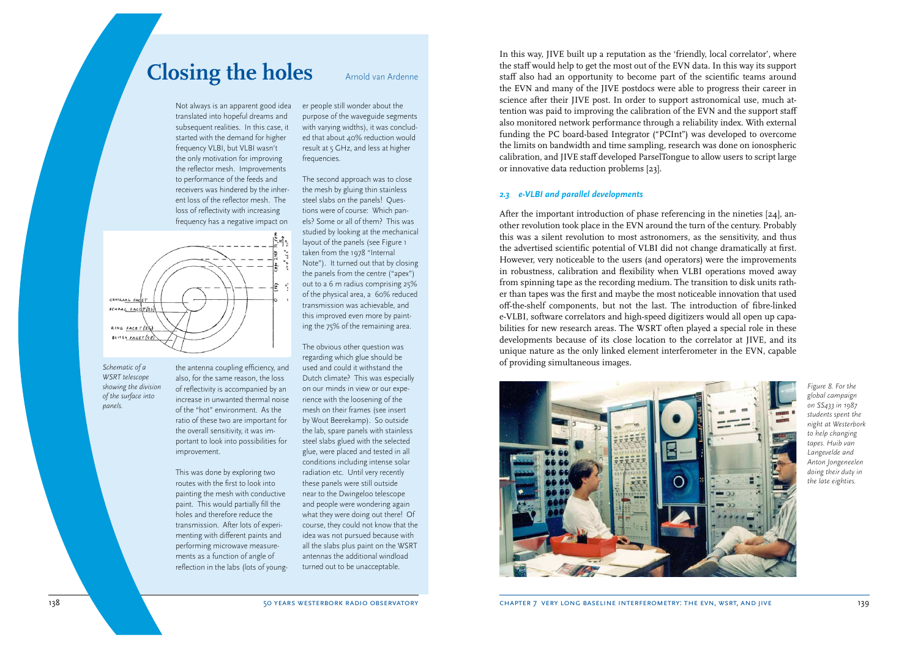# **Closing the holes**

Not always is an apparent good idea translated into hopeful dreams and subsequent realities. In this case, it started with the demand for higher frequency VLBI, but VLBI wasn't the only motivation for improving the reflector mesh. Improvements to performance of the feeds and receivers was hindered by the inherent loss of the reflector mesh. The loss of reflectivity with increasing frequency has a negative impact on

the overall sensitivity, it was im-

This was done by exploring two routes with the first to look into

paint. This would partially fill the holes and therefore reduce the transmission. After lots of experimenting with different paints and performing microwave measurements as a function of angle of

improvement.

er people still wonder about the purpose of the waveguide segments with varying widths), it was concluded that about 40% reduction would result at 5 GHz, and less at higher frequencies.

Arnold van Ardenne

The second approach was to close the mesh by gluing thin stainless steel slabs on the panels! Questions were of course: Which panels? Some or all of them? This was studied by looking at the mechanical layout of the panels (see Figure 1 taken from the 1978 "Internal Note"). It turned out that by closing the panels from the centre ("apex") out to a 6 m radius comprising 25% of the physical area, a 60% reduced transmission was achievable, and this improved even more by painting the 75% of the remaining area.

the antenna coupling efficiency, and also, for the same reason, the loss of reflectivity is accompanied by an increase in unwanted thermal noise of the "hot" environment. As the ratio of these two are important for portant to look into possibilities for painting the mesh with conductive reflection in the labs (lots of young-The obvious other question was regarding which glue should be used and could it withstand the Dutch climate? This was especially on our minds in view or our experience with the loosening of the mesh on their frames (see insert by Wout Beerekamp). So outside the lab, spare panels with stainless steel slabs glued with the selected glue, were placed and tested in all conditions including intense solar radiation etc. Until very recently these panels were still outside near to the Dwingeloo telescope and people were wondering again what they were doing out there! Of course, they could not know that the idea was not pursued because with all the slabs plus paint on the WSRT antennas the additional windload turned out to be unacceptable.

### In this way, JIVE built up a reputation as the 'friendly, local correlator', where the staff would help to get the most out of the EVN data. In this way its support staff also had an opportunity to become part of the scientific teams around the EVN and many of the JIVE postdocs were able to progress their career in science after their JIVE post. In order to support astronomical use, much attention was paid to improving the calibration of the EVN and the support staff also monitored network performance through a reliability index. With external funding the PC board-based Integrator ("PCInt") was developed to overcome the limits on bandwidth and time sampling, research was done on ionospheric calibration, and JIVE staff developed ParselTongue to allow users to script large or innovative data reduction problems [23].

#### *2.3 e-VLBI and parallel developments*

After the important introduction of phase referencing in the nineties [24], another revolution took place in the EVN around the turn of the century. Probably this was a silent revolution to most astronomers, as the sensitivity, and thus the advertised scientific potential of VLBI did not change dramatically at first. However, very noticeable to the users (and operators) were the improvements in robustness, calibration and flexibility when VLBI operations moved away from spinning tape as the recording medium. The transition to disk units rather than tapes was the first and maybe the most noticeable innovation that used off-the-shelf components, but not the last. The introduction of fibre-linked e-VLBI, software correlators and high-speed digitizers would all open up capabilities for new research areas. The WSRT often played a special role in these developments because of its close location to the correlator at JIVE, and its unique nature as the only linked element interferometer in the EVN, capable of providing simultaneous images.



*Figure 8. For the global campaign on SS433 in 1987 students spent the night at Westerbork to help changing tapes. Huib van Langevelde and Anton Jongeneelen doing their duty in the late eighties.*

*Schematic of a* 

CENTRAAL FACET  $scna_4 = \frac{c_4}{c_4}$ 

RING FACET (24) BUITEN FACET (48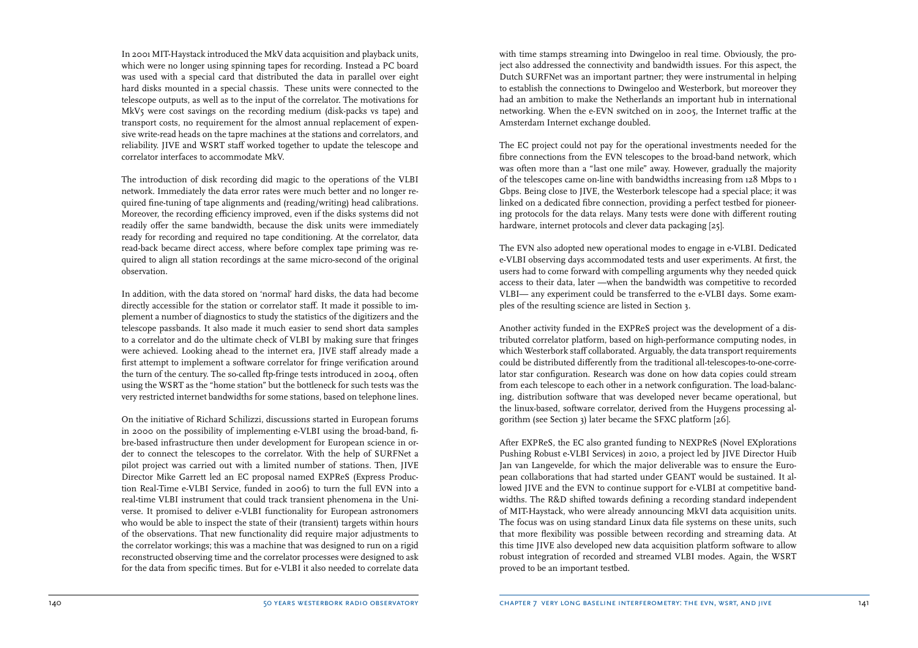In 2001 MIT-Haystack introduced the MkV data acquisition and playback units, which were no longer using spinning tapes for recording. Instead a PC board was used with a special card that distributed the data in parallel over eight hard disks mounted in a special chassis. These units were connected to the telescope outputs, as well as to the input of the correlator. The motivations for MkV5 were cost savings on the recording medium (disk-packs vs tape) and transport costs, no requirement for the almost annual replacement of expensive write-read heads on the tapre machines at the stations and correlators, and reliability. JIVE and WSRT staff worked together to update the telescope and correlator interfaces to accommodate MkV.

The introduction of disk recording did magic to the operations of the VLBI network. Immediately the data error rates were much better and no longer required fine-tuning of tape alignments and (reading/writing) head calibrations. Moreover, the recording efficiency improved, even if the disks systems did not readily offer the same bandwidth, because the disk units were immediately ready for recording and required no tape conditioning. At the correlator, data read-back became direct access, where before complex tape priming was required to align all station recordings at the same micro-second of the original observation.

In addition, with the data stored on 'normal' hard disks, the data had become directly accessible for the station or correlator staff. It made it possible to implement a number of diagnostics to study the statistics of the digitizers and the telescope passbands. It also made it much easier to send short data samples to a correlator and do the ultimate check of VLBI by making sure that fringes were achieved. Looking ahead to the internet era, JIVE staff already made a first attempt to implement a software correlator for fringe verification around the turn of the century. The so-called ftp-fringe tests introduced in 2004, often using the WSRT as the "home station" but the bottleneck for such tests was the very restricted internet bandwidths for some stations, based on telephone lines.

On the initiative of Richard Schilizzi, discussions started in European forums in 2000 on the possibility of implementing e-VLBI using the broad-band, fibre-based infrastructure then under development for European science in order to connect the telescopes to the correlator. With the help of SURFNet a pilot project was carried out with a limited number of stations. Then, JIVE Director Mike Garrett led an EC proposal named EXPReS (Express Production Real-Time e-VLBI Service, funded in 2006) to turn the full EVN into a real-time VLBI instrument that could track transient phenomena in the Universe. It promised to deliver e-VLBI functionality for European astronomers who would be able to inspect the state of their (transient) targets within hours of the observations. That new functionality did require major adjustments to the correlator workings; this was a machine that was designed to run on a rigid reconstructed observing time and the correlator processes were designed to ask for the data from specific times. But for e-VLBI it also needed to correlate data with time stamps streaming into Dwingeloo in real time. Obviously, the project also addressed the connectivity and bandwidth issues. For this aspect, the Dutch SURFNet was an important partner; they were instrumental in helping to establish the connections to Dwingeloo and Westerbork, but moreover they had an ambition to make the Netherlands an important hub in international networking. When the e-EVN switched on in 2005, the Internet traffic at the Amsterdam Internet exchange doubled.

The EC project could not pay for the operational investments needed for the fibre connections from the EVN telescopes to the broad-band network, which was often more than a "last one mile" away. However, gradually the majority of the telescopes came on-line with bandwidths increasing from 128 Mbps to 1 Gbps. Being close to JIVE, the Westerbork telescope had a special place; it was linked on a dedicated fibre connection, providing a perfect testbed for pioneering protocols for the data relays. Many tests were done with different routing hardware, internet protocols and clever data packaging [25].

The EVN also adopted new operational modes to engage in e-VLBI. Dedicated e-VLBI observing days accommodated tests and user experiments. At first, the users had to come forward with compelling arguments why they needed quick access to their data, later —when the bandwidth was competitive to recorded VLBI— any experiment could be transferred to the e-VLBI days. Some examples of the resulting science are listed in Section 3.

Another activity funded in the EXPReS project was the development of a distributed correlator platform, based on high-performance computing nodes, in which Westerbork staff collaborated. Arguably, the data transport requirements could be distributed differently from the traditional all-telescopes-to-one-correlator star configuration. Research was done on how data copies could stream from each telescope to each other in a network configuration. The load-balancing, distribution software that was developed never became operational, but the linux-based, software correlator, derived from the Huygens processing algorithm (see Section 3) later became the SFXC platform [26].

After EXPReS, the EC also granted funding to NEXPReS (Novel EXplorations Pushing Robust e-VLBI Services) in 2010, a project led by JIVE Director Huib Jan van Langevelde, for which the major deliverable was to ensure the European collaborations that had started under GEANT would be sustained. It allowed JIVE and the EVN to continue support for e-VLBI at competitive bandwidths. The R&D shifted towards defining a recording standard independent of MIT-Haystack, who were already announcing MkVI data acquisition units. The focus was on using standard Linux data file systems on these units, such that more flexibility was possible between recording and streaming data. At this time JIVE also developed new data acquisition platform software to allow robust integration of recorded and streamed VLBI modes. Again, the WSRT proved to be an important testbed.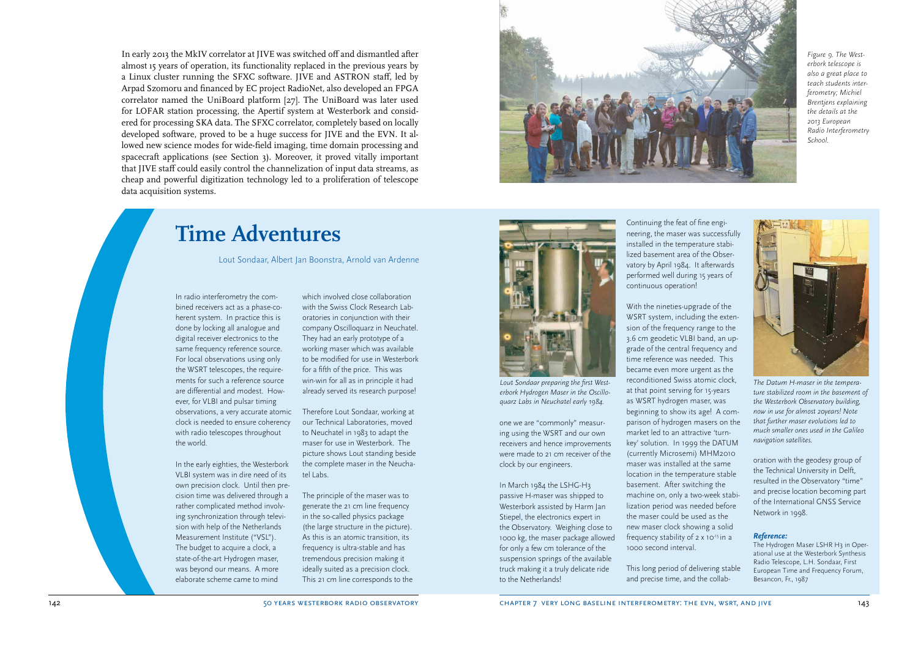In early 2013 the MkIV correlator at JIVE was switched off and dismantled after almost 15 years of operation, its functionality replaced in the previous years by a Linux cluster running the SFXC software. JIVE and ASTRON staff, led by Arpad Szomoru and financed by EC project RadioNet, also developed an FPGA correlator named the UniBoard platform [27]. The UniBoard was later used for LOFAR station processing, the Apertif system at Westerbork and considered for processing SKA data. The SFXC correlator, completely based on locally developed software, proved to be a huge success for JIVE and the EVN. It allowed new science modes for wide-field imaging, time domain processing and spacecraft applications (see Section 3). Moreover, it proved vitally important that JIVE staff could easily control the channelization of input data streams, as cheap and powerful digitization technology led to a proliferation of telescope data acquisition systems.



*Figure 9. The Westerbork telescope is also a great place to teach students interferometry; Michiel Brentjens explaining the details at the 2013 European Radio Interferometry School.*

# **Time Adventures**

Lout Sondaar, Albert Jan Boonstra, Arnold van Ardenne

In radio interferometry the combined receivers act as a phase-coherent system. In practice this is done by locking all analogue and digital receiver electronics to the same frequency reference source. For local observations using only the WSRT telescopes, the requirements for such a reference source are differential and modest. However, for VLBI and pulsar timing observations, a very accurate atomic clock is needed to ensure coherency with radio telescopes throughout the world.

In the early eighties, the Westerbork VLBI system was in dire need of its own precision clock. Until then precision time was delivered through a rather complicated method involving synchronization through television with help of the Netherlands Measurement Institute ("VSL"). The budget to acquire a clock, a state-of-the-art Hydrogen maser, was beyond our means. A more elaborate scheme came to mind

which involved close collaboration with the Swiss Clock Research Laboratories in conjunction with their company Oscilloquarz in Neuchatel. They had an early prototype of a working maser which was available to be modified for use in Westerbork for a fifth of the price. This was win-win for all as in principle it had already served its research purpose!

Therefore Lout Sondaar, working at our Technical Laboratories, moved to Neuchatel in 1983 to adapt the maser for use in Westerbork. The picture shows Lout standing beside the complete maser in the Neuchatel Labs.

The principle of the maser was to generate the 21 cm line frequency in the so-called physics package (the large structure in the picture). As this is an atomic transition, its frequency is ultra-stable and has tremendous precision making it ideally suited as a precision clock. This 21 cm line corresponds to the



*Lout Sondaar preparing the first Westerbork Hydrogen Maser in the Oscilloquarz Labs in Neuchatel early 1984.*

one we are "commonly" measuring using the WSRT and our own receivers and hence improvements were made to 21 cm receiver of the clock by our engineers.

In March 1984 the LSHG-H3 passive H-maser was shipped to Westerbork assisted by Harm Jan Stiepel, the electronics expert in the Observatory. Weighing close to 1000 kg, the maser package allowed for only a few cm tolerance of the suspension springs of the available truck making it a truly delicate ride to the Netherlands!

Continuing the feat of fine engineering, the maser was successfully installed in the temperature stabilized basement area of the Observatory by April 1984. It afterwards performed well during 15 years of continuous operation!

With the nineties-upgrade of the WSRT system, including the extension of the frequency range to the 3.6 cm geodetic VLBI band, an upgrade of the central frequency and time reference was needed. This became even more urgent as the reconditioned Swiss atomic clock, at that point serving for 15-years as WSRT hydrogen maser, was beginning to show its age! A comparison of hydrogen masers on the market led to an attractive 'turnkey' solution. In 1999 the DATUM (currently Microsemi) MHM2010 maser was installed at the same location in the temperature stable basement. After switching the machine on, only a two-week stabilization period was needed before the maser could be used as the new maser clock showing a solid frequency stability of 2 x 10<sup>-15</sup> in a 1000 second interval.

This long period of delivering stable and precise time, and the collab-



*The Datum H-maser in the temperature stabilized room in the basement of the Westerbork Observatory building, now in use for almost 20years! Note that further maser evolutions led to much smaller ones used in the Galileo navigation satellites.*

oration with the geodesy group of the Technical University in Delft, resulted in the Observatory "time" and precise location becoming part of the International GNSS Service Network in 1998.

#### *Reference:*

The Hydrogen Maser LSHR H3 in Operational use at the Westerbork Synthesis Radio Telescope, L.H. Sondaar, First European Time and Frequency Forum, Besancon, Fr., 1987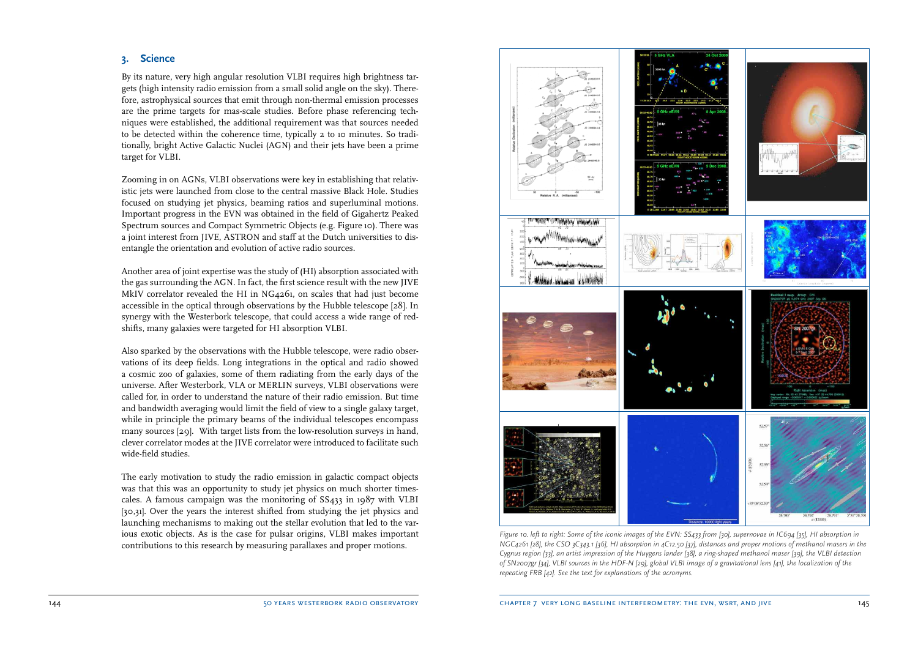### **3. Science**

By its nature, very high angular resolution VLBI requires high brightness targets (high intensity radio emission from a small solid angle on the sky). Therefore, astrophysical sources that emit through non-thermal emission processes are the prime targets for mas-scale studies. Before phase referencing techniques were established, the additional requirement was that sources needed to be detected within the coherence time, typically 2 to 10 minutes. So traditionally, bright Active Galactic Nuclei (AGN) and their jets have been a prime target for VLBI.

Zooming in on AGNs, VLBI observations were key in establishing that relativistic jets were launched from close to the central massive Black Hole. Studies focused on studying jet physics, beaming ratios and superluminal motions. Important progress in the EVN was obtained in the field of Gigahertz Peaked Spectrum sources and Compact Symmetric Objects (e.g. Figure 10). There was a joint interest from JIVE, ASTRON and staff at the Dutch universities to disentangle the orientation and evolution of active radio sources.

Another area of joint expertise was the study of (HI) absorption associated with the gas surrounding the AGN. In fact, the first science result with the new JIVE MkIV correlator revealed the HI in NG4261, on scales that had just become accessible in the optical through observations by the Hubble telescope [28]. In synergy with the Westerbork telescope, that could access a wide range of redshifts, many galaxies were targeted for HI absorption VLBI.

Also sparked by the observations with the Hubble telescope, were radio observations of its deep fields. Long integrations in the optical and radio showed a cosmic zoo of galaxies, some of them radiating from the early days of the universe. After Westerbork, VLA or MERLIN surveys, VLBI observations were called for, in order to understand the nature of their radio emission. But time and bandwidth averaging would limit the field of view to a single galaxy target, while in principle the primary beams of the individual telescopes encompass many sources [29]. With target lists from the low-resolution surveys in hand, clever correlator modes at the JIVE correlator were introduced to facilitate such wide-field studies.

The early motivation to study the radio emission in galactic compact objects was that this was an opportunity to study jet physics on much shorter timescales. A famous campaign was the monitoring of SS433 in 1987 with VLBI [30,31]. Over the years the interest shifted from studying the jet physics and launching mechanisms to making out the stellar evolution that led to the various exotic objects. As is the case for pulsar origins, VLBI makes important contributions to this research by measuring parallaxes and proper motions.



*Figure 10. left to right: Some of the iconic images of the EVN: SS433 from [30], supernovae in IC694 [35], HI absorption in NGC4261 [28], the CSO 3C343.1 [36], HI absorption in 4C12.50 [37], distances and proper motions of methanol masers in the Cygnus region [33], an artist impression of the Huygens lander [38], a ring-shaped methanol maser [39], the VLBI detection of SN2007gr [34], VLBI sources in the HDF-N [29], global VLBI image of a gravitational lens [41], the localization of the repeating FRB [42]. See the text for explanations of the acronyms.*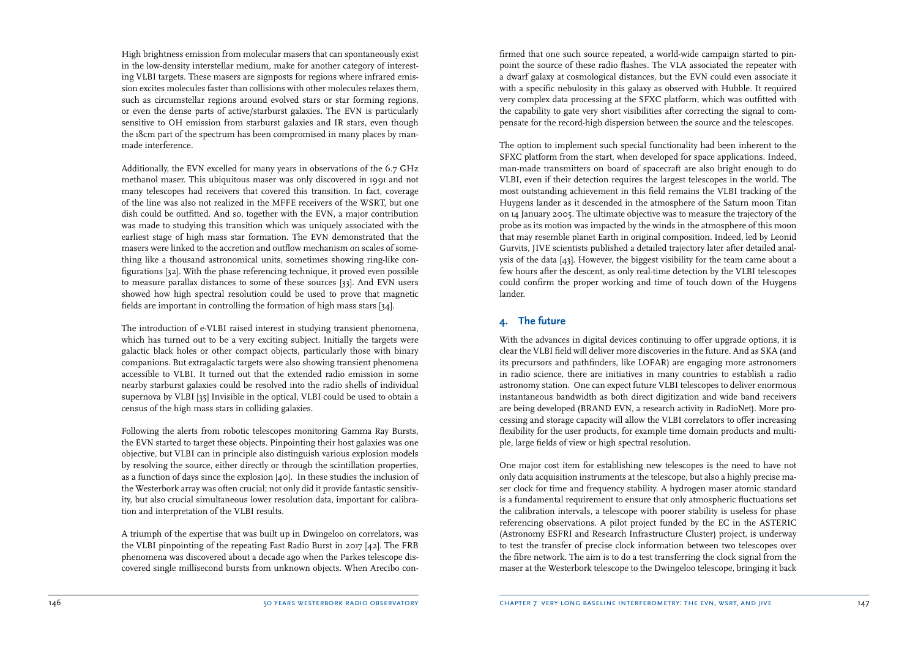High brightness emission from molecular masers that can spontaneously exist in the low-density interstellar medium, make for another category of interesting VLBI targets. These masers are signposts for regions where infrared emission excites molecules faster than collisions with other molecules relaxes them, such as circumstellar regions around evolved stars or star forming regions, or even the dense parts of active/starburst galaxies. The EVN is particularly sensitive to OH emission from starburst galaxies and IR stars, even though the 18cm part of the spectrum has been compromised in many places by manmade interference.

Additionally, the EVN excelled for many years in observations of the 6.7 GHz methanol maser. This ubiquitous maser was only discovered in 1991 and not many telescopes had receivers that covered this transition. In fact, coverage of the line was also not realized in the MFFE receivers of the WSRT, but one dish could be outfitted. And so, together with the EVN, a major contribution was made to studying this transition which was uniquely associated with the earliest stage of high mass star formation. The EVN demonstrated that the masers were linked to the accretion and outflow mechanism on scales of something like a thousand astronomical units, sometimes showing ring-like configurations [32]. With the phase referencing technique, it proved even possible to measure parallax distances to some of these sources [33]. And EVN users showed how high spectral resolution could be used to prove that magnetic fields are important in controlling the formation of high mass stars [34].

The introduction of e-VLBI raised interest in studying transient phenomena, which has turned out to be a very exciting subject. Initially the targets were galactic black holes or other compact objects, particularly those with binary companions. But extragalactic targets were also showing transient phenomena accessible to VLBI. It turned out that the extended radio emission in some nearby starburst galaxies could be resolved into the radio shells of individual supernova by VLBI [35] Invisible in the optical, VLBI could be used to obtain a census of the high mass stars in colliding galaxies.

Following the alerts from robotic telescopes monitoring Gamma Ray Bursts, the EVN started to target these objects. Pinpointing their host galaxies was one objective, but VLBI can in principle also distinguish various explosion models by resolving the source, either directly or through the scintillation properties, as a function of days since the explosion [40]. In these studies the inclusion of the Westerbork array was often crucial; not only did it provide fantastic sensitivity, but also crucial simultaneous lower resolution data, important for calibration and interpretation of the VLBI results.

A triumph of the expertise that was built up in Dwingeloo on correlators, was the VLBI pinpointing of the repeating Fast Radio Burst in 2017 [42]. The FRB phenomena was discovered about a decade ago when the Parkes telescope discovered single millisecond bursts from unknown objects. When Arecibo confirmed that one such source repeated, a world-wide campaign started to pinpoint the source of these radio flashes. The VLA associated the repeater with a dwarf galaxy at cosmological distances, but the EVN could even associate it with a specific nebulosity in this galaxy as observed with Hubble. It required very complex data processing at the SFXC platform, which was outfitted with the capability to gate very short visibilities after correcting the signal to compensate for the record-high dispersion between the source and the telescopes.

The option to implement such special functionality had been inherent to the SFXC platform from the start, when developed for space applications. Indeed, man-made transmitters on board of spacecraft are also bright enough to do VLBI, even if their detection requires the largest telescopes in the world. The most outstanding achievement in this field remains the VLBI tracking of the Huygens lander as it descended in the atmosphere of the Saturn moon Titan on 14 January 2005. The ultimate objective was to measure the trajectory of the probe as its motion was impacted by the winds in the atmosphere of this moon that may resemble planet Earth in original composition. Indeed, led by Leonid Gurvits, JIVE scientists published a detailed trajectory later after detailed analysis of the data [43]. However, the biggest visibility for the team came about a few hours after the descent, as only real-time detection by the VLBI telescopes could confirm the proper working and time of touch down of the Huygens lander.

### **4. The future**

With the advances in digital devices continuing to offer upgrade options, it is clear the VLBI field will deliver more discoveries in the future. And as SKA (and its precursors and pathfinders, like LOFAR) are engaging more astronomers in radio science, there are initiatives in many countries to establish a radio astronomy station. One can expect future VLBI telescopes to deliver enormous instantaneous bandwidth as both direct digitization and wide band receivers are being developed (BRAND EVN, a research activity in RadioNet). More processing and storage capacity will allow the VLBI correlators to offer increasing flexibility for the user products, for example time domain products and multiple, large fields of view or high spectral resolution.

One major cost item for establishing new telescopes is the need to have not only data acquisition instruments at the telescope, but also a highly precise maser clock for time and frequency stability. A hydrogen maser atomic standard is a fundamental requirement to ensure that only atmospheric fluctuations set the calibration intervals, a telescope with poorer stability is useless for phase referencing observations. A pilot project funded by the EC in the ASTERIC (Astronomy ESFRI and Research Infrastructure Cluster) project, is underway to test the transfer of precise clock information between two telescopes over the fibre network. The aim is to do a test transferring the clock signal from the maser at the Westerbork telescope to the Dwingeloo telescope, bringing it back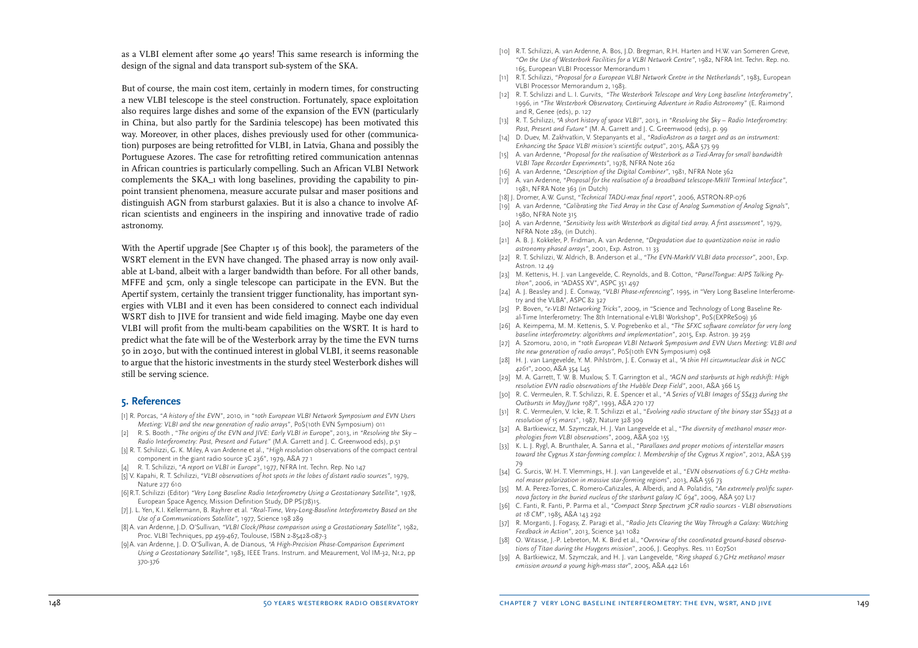as a VLBI element after some 40 years! This same research is informing the design of the signal and data transport sub-system of the SKA.

But of course, the main cost item, certainly in modern times, for constructing a new VLBI telescope is the steel construction. Fortunately, space exploitation also requires large dishes and some of the expansion of the EVN (particularly in China, but also partly for the Sardinia telescope) has been motivated this way. Moreover, in other places, dishes previously used for other (communication) purposes are being retrofitted for VLBI, in Latvia, Ghana and possibly the Portuguese Azores. The case for retrofitting retired communication antennas in African countries is particularly compelling. Such an African VLBI Network complements the SKA\_1 with long baselines, providing the capability to pinpoint transient phenomena, measure accurate pulsar and maser positions and distinguish AGN from starburst galaxies. But it is also a chance to involve African scientists and engineers in the inspiring and innovative trade of radio astronomy.

With the Apertif upgrade [See Chapter 15 of this book], the parameters of the WSRT element in the EVN have changed. The phased array is now only available at L-band, albeit with a larger bandwidth than before. For all other bands, MFFE and 5cm, only a single telescope can participate in the EVN. But the Apertif system, certainly the transient trigger functionality, has important synergies with VLBI and it even has been considered to connect each individual WSRT dish to JIVE for transient and wide field imaging. Maybe one day even VLBI will profit from the multi-beam capabilities on the WSRT. It is hard to predict what the fate will be of the Westerbork array by the time the EVN turns 50 in 2030, but with the continued interest in global VLBI, it seems reasonable to argue that the historic investments in the sturdy steel Westerbork dishes will still be serving science.

#### **5. References**

- [1] R. Porcas, "*A history of the EVN*", 2010, in "*10th European VLBI Network Symposium and EVN Users Meeting: VLBI and the new generation of radio arrays*", PoS(10th EVN Symposium) 011
- [2] R. S. Booth , "*The origins of the EVN and JIVE: Early VLBI in Eur*ope", 2013, in *"Resolving the Sky Radio Interferometry: Past, Present and Future"* (M.A. Garrett and J. C. Greenwood eds), p.51
- [3] R. T. Schilizzi, G. K. Miley, A van Ardenne et al., "*High resolut*ion observations of the compact central component in the giant radio source 3C 236", 1979, A&A 77 1
- [4] R. T. Schilizzi, "*A report on VLBI in Europe*", 1977, NFRA Int. Techn. Rep. No 147
- [5] V. Kapahi, R. T. Schilizzi, *"VLBI observations of hot spots in the lobes of distant radio sources"*, 1979, Nature 277 610
- [6] R.T. Schilizzi (Editor) *"Very Long Baseline Radio Interferometry Using a Geostationary Satellite"*, 1978, European Space Agency, Mission Definition Study, DP PS(78)15.
- [7] J. L. Yen, K.I. Kellermann, B. Rayhrer et al. *"Real-Time, Very-Long-Baseline Interferometry Based on the Use of a Communications Satellite",* 1977, Science 198 289
- [8] A. van Ardenne, J.D. O'Sullivan, *"VLBI Clock/Phase comparison using a Geostationary Satellite"*, 1982, Proc. VLBI Techniques, pp 459-467, Toulouse, ISBN 2-85428-087-3
- [9] A. van Ardenne, J. D. O'Sullivan, A. de Dianous, *"A High-Precision Phase-Comparison Experiment Using a Geostationary Satellite"*, 1983, IEEE Trans. Instrum. and Meaurement, Vol IM-32, Nr.2, pp 370-376
- [10] R.T. Schilizzi, A. van Ardenne, A. Bos, J.D. Bregman, R.H. Harten and H.W. van Someren Greve, *"On the Use of Westerbork Facilities for a VLBI Network Centre"*, 1982, NFRA Int. Techn. Rep. no. 165, European VLBI Processor Memorandum 1
- [11] R.T. Schilizzi, *"Proposal for a European VLBI Network Centre in the Netherlands"*, 1983, European VLBI Processor Memorandum 2, 1983.
- [12] R. T. Schilizzi and L. I. Gurvits, *"The Westerbork Telescope and Very Long baseline Interferometry"*, 1996, in *"The Westerbork Observatory, Continuing Adventure in Radio Astronomy"* (E. Raimond and R, Genee (eds), p. 127
- [13] R. T. Schilizzi, *"A short history of space VLBI"*, 2013, in *"Resolving the Sky Radio Interferometry: Past, Present and Future"* (M. A. Garrett and J. C. Greemwood (eds), p. 99
- [14] D. Duev, M. Zakhvatkin, V. Stepanyants et al., *"RadioAstron as a target and as an instrument: Enhancing the Space VLBI mission's scientific output*", 2015, A&A 573 99
- [15] A. van Ardenne, "Proposal for the realisation of Westerbork as a Tied-Array for small bandwidth *VLBI Tape Recorder Experiments"*, 1978, NFRA Note 262
- [16] A. van Ardenne, *"Description of the Digital Combiner"*, 1981, NFRA Note 362
- [17] A. van Ardenne, *"Proposal for the realisation of a broadband telescope-MkIII Terminal Interface"*, 1981, NFRA Note 363 (in Dutch)
- [18] J. Dromer, A.W. Gunst, *"Technical TADU-max final report",* 2006, ASTRON-RP-076
- [19] A. van Ardenne, *"Calibrating the Tied Array in the Case of Analog Summation of Analog Signals"*, 1980, NFRA Note 315
- [20] A. van Ardenne, *"Sensitivity loss with Westerbork as digital tied array. A first assessment",* 1979, NFRA Note 289, (in Dutch).
- [21] A. B. J. Kokkeler, P. Fridman, A. van Ardenne, *"Degradation due to quantization noise in radio astronomy phased arrays"*, 2001, Exp. Astron. 11 33
- [22] R. T. Schilizzi, W. Aldrich, B. Anderson et al., *"The EVN-MarkIV VLBI data processor"*, 2001, Exp. Astron. 12 49
- [23] M. Kettenis, H. J. van Langevelde, C. Reynolds, and B. Cotton, *"ParselTongue: AIPS Talking Python"*, 2006, in "ADASS XV", ASPC 351 497
- [24] A. J. Beasley and J. E. Conway, *"VLBI Phase-referencing",* 1995, in "Very Long Baseline Interferometry and the VLBA", ASPC 82 327
- [25] P. Boven, *"e-VLBI Networking Tricks"*, 2009, in "Science and Technology of Long Baseline Real-Time Interferometry: The 8th International e-VLBI Workshop", PoS(EXPReS09) 36
- [26] A. Keimpema, M. M. Kettenis, S. V. Pogrebenko et al., *"The SFXC software correlator for very long baseline interferometry: algorithms and implementation*", 2015, Exp. Astron. 39 259
- [27] A. Szomoru, 2010, in *"10th European VLBI Network Symposium and EVN Users Meeting: VLBI and the new generation of radio arrays"*, PoS(10th EVN Symposium) 098
- [28] H. J. van Langevelde, Y. M. Pihlström, J. E. Conway et al., *"A thin HI circumnuclear disk in NGC 4261*", 2000, A&A 354 L45
- [29] M. A. Garrett, T. W. B. Muxlow, S. T. Garrington et al., *"AGN and starbursts at high redshift: High resolution EVN radio observations of the Hubble Deep Field"*, 2001, A&A 366 L5
- [30] R. C. Vermeulen, R. T. Schilizzi, R. E. Spencer et al., "*A Series of VLBI Images of SS433 during the Outbursts in May/June 1987*", 1993, A&A 270 177
- [31] R. C. Vermeulen, V. Icke, R. T. Schilizzi et al., "*Evolving radio structure of the binary star SS433 at a resolution of 15 marcs*", 1987, Nature 328 309
- [32] A. Bartkiewicz, M. Szymczak, H. J. Van Langevelde et al., "*The diversity of methanol maser morphologies from VLBI observations*", 2009, A&A 502 155
- [33] K. L. J. Rygl, A. Brunthaler, A. Sanna et al., "*Parallaxes and proper motions of interstellar masers toward the Cygnus X star-forming complex: I. Membership of the Cygnus X region*", 2012, A&A 539 79
- [34] G. Surcis, W. H. T. Vlemmings, H. J. van Langevelde et al., "*EVN observations of 6.7 GHz methanol maser polarization in massive star-forming regions*", 2013, A&A 556 73
- [35] M. A. Perez-Torres, C. Romero-Cañizales, A. Alberdi, and A. Polatidis, "*An extremely prolific supernova factory in the buried nucleus of the starburst galaxy IC 694*", 2009, A&A 507 L17
- [36] C. Fanti, R. Fanti, P. Parma et al., "*Compact Steep Spectrum 3CR radio sources VLBI observations at 18 CM*", 1985, A&A 143 292
- [37] R. Morganti, J. Fogasy, Z. Paragi et al., "*Radio Jets Clearing the Way Through a Galaxy: Watching Feedback in Action*", 2013, Science 341 1082
- [38] O. Witasse, J.-P. Lebreton, M. K. Bird et al., "Overview of the coordinated ground-based observa*tions of Titan during the Huygens mission*", 2006, J. Geophys. Res. 111 E07S01
- [39] A. Bartkiewicz, M. Szymczak, and H. J. van Langevelde, "*Ring shaped 6.7 GHz methanol maser emission around a young high-mass star*", 2005, A&A 442 L61